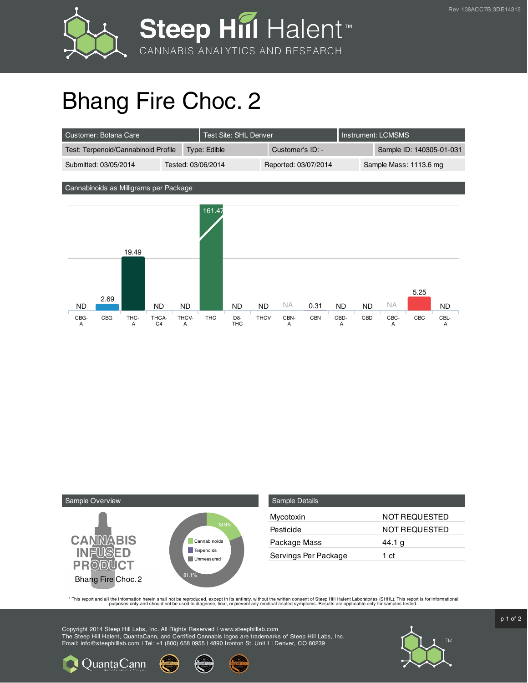

## Bhang Fire Choc. 2

| Customer: Botana Care               |                    |              | <b>Test Site: SHL Denver</b> |                  |  | Instrument: LCMSMS       |  |
|-------------------------------------|--------------------|--------------|------------------------------|------------------|--|--------------------------|--|
| Test: Terpenoid/Cannabinoid Profile |                    | Type: Edible |                              | Customer's ID: - |  | Sample ID: 140305-01-031 |  |
| Submitted: 03/05/2014               | Tested: 03/06/2014 |              | Reported: 03/07/2014         |                  |  | Sample Mass: 1113.6 mg   |  |

Cannabinoids as Milligrams per Package





| Sample Details       |                      |
|----------------------|----------------------|
| Mycotoxin            | NOT REQUESTED        |
| Pesticide            | <b>NOT REQUESTED</b> |
| Package Mass         | 44.1 g               |
| Servings Per Package | 1 ct                 |

This report and all the information herein shall not be reporduced, except in its entirety, without the written consent of Steep Hill Halent Laboratories (SHHL). This report is for informational all the instance, treat, or

Copyright 2014 Steep Hill Labs, Inc. All Rights Reserved | www.steephilllab.com The Steep Hill Halent, QuantaCann, and Certified Cannabis logos are trademarks of Steep Hill Labs, Inc. Email: info@steephilllab.com | Tel: +1 (800) 658 0955 | 4890 Ironton St. Unit I | Denver, CO 80239